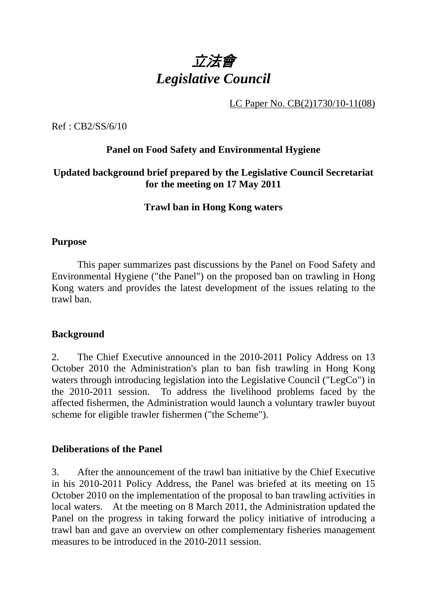

LC Paper No. CB(2)1730/10-11(08)

Ref : CB2/SS/6/10

## **Panel on Food Safety and Environmental Hygiene**

## **Updated background brief prepared by the Legislative Council Secretariat for the meeting on 17 May 2011**

### **Trawl ban in Hong Kong waters**

#### **Purpose**

This paper summarizes past discussions by the Panel on Food Safety and Environmental Hygiene ("the Panel") on the proposed ban on trawling in Hong Kong waters and provides the latest development of the issues relating to the trawl ban.

#### **Background**

2. The Chief Executive announced in the 2010-2011 Policy Address on 13 October 2010 the Administration's plan to ban fish trawling in Hong Kong waters through introducing legislation into the Legislative Council ("LegCo") in the 2010-2011 session. To address the livelihood problems faced by the affected fishermen, the Administration would launch a voluntary trawler buyout scheme for eligible trawler fishermen ("the Scheme").

#### **Deliberations of the Panel**

3. After the announcement of the trawl ban initiative by the Chief Executive in his 2010-2011 Policy Address, the Panel was briefed at its meeting on 15 October 2010 on the implementation of the proposal to ban trawling activities in local waters. At the meeting on 8 March 2011, the Administration updated the Panel on the progress in taking forward the policy initiative of introducing a trawl ban and gave an overview on other complementary fisheries management measures to be introduced in the 2010-2011 session.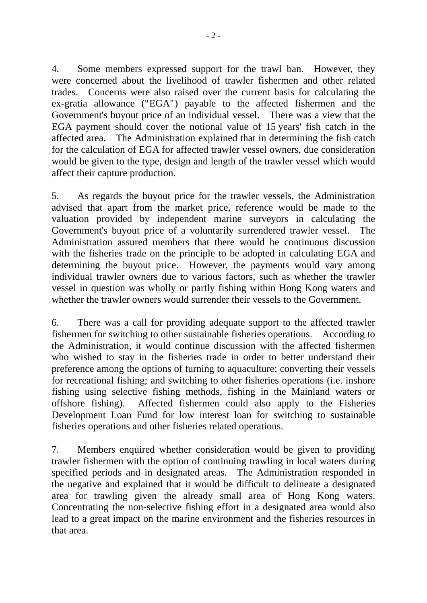4. Some members expressed support for the trawl ban. However, they were concerned about the livelihood of trawler fishermen and other related trades. Concerns were also raised over the current basis for calculating the ex-gratia allowance ("EGA") payable to the affected fishermen and the Government's buyout price of an individual vessel. There was a view that the EGA payment should cover the notional value of 15 years' fish catch in the affected area. The Administration explained that in determining the fish catch for the calculation of EGA for affected trawler vessel owners, due consideration would be given to the type, design and length of the trawler vessel which would affect their capture production.

5. As regards the buyout price for the trawler vessels, the Administration advised that apart from the market price, reference would be made to the valuation provided by independent marine surveyors in calculating the Government's buyout price of a voluntarily surrendered trawler vessel. The Administration assured members that there would be continuous discussion with the fisheries trade on the principle to be adopted in calculating EGA and determining the buyout price. However, the payments would vary among individual trawler owners due to various factors, such as whether the trawler vessel in question was wholly or partly fishing within Hong Kong waters and whether the trawler owners would surrender their vessels to the Government.

6. There was a call for providing adequate support to the affected trawler fishermen for switching to other sustainable fisheries operations. According to the Administration, it would continue discussion with the affected fishermen who wished to stay in the fisheries trade in order to better understand their preference among the options of turning to aquaculture; converting their vessels for recreational fishing; and switching to other fisheries operations (i.e. inshore fishing using selective fishing methods, fishing in the Mainland waters or offshore fishing). Affected fishermen could also apply to the Fisheries Development Loan Fund for low interest loan for switching to sustainable fisheries operations and other fisheries related operations.

7. Members enquired whether consideration would be given to providing trawler fishermen with the option of continuing trawling in local waters during specified periods and in designated areas. The Administration responded in the negative and explained that it would be difficult to delineate a designated area for trawling given the already small area of Hong Kong waters. Concentrating the non-selective fishing effort in a designated area would also lead to a great impact on the marine environment and the fisheries resources in that area.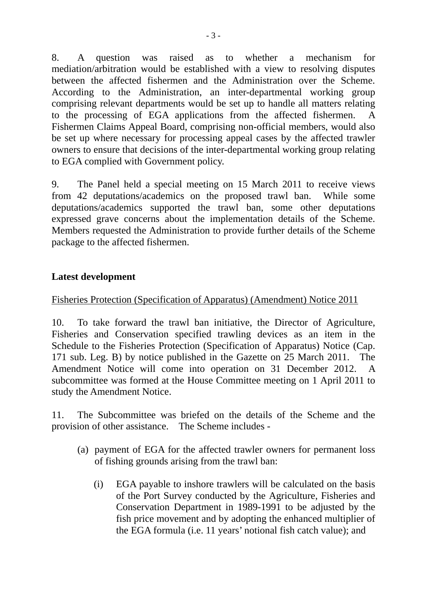8. A question was raised as to whether a mechanism for mediation/arbitration would be established with a view to resolving disputes between the affected fishermen and the Administration over the Scheme. According to the Administration, an inter-departmental working group comprising relevant departments would be set up to handle all matters relating to the processing of EGA applications from the affected fishermen. A Fishermen Claims Appeal Board, comprising non-official members, would also be set up where necessary for processing appeal cases by the affected trawler owners to ensure that decisions of the inter-departmental working group relating to EGA complied with Government policy.

9. The Panel held a special meeting on 15 March 2011 to receive views from 42 deputations/academics on the proposed trawl ban. While some deputations/academics supported the trawl ban, some other deputations expressed grave concerns about the implementation details of the Scheme. Members requested the Administration to provide further details of the Scheme package to the affected fishermen.

## **Latest development**

## Fisheries Protection (Specification of Apparatus) (Amendment) Notice 2011

10. To take forward the trawl ban initiative, the Director of Agriculture, Fisheries and Conservation specified trawling devices as an item in the Schedule to the Fisheries Protection (Specification of Apparatus) Notice (Cap. 171 sub. Leg. B) by notice published in the Gazette on 25 March 2011. The Amendment Notice will come into operation on 31 December 2012. A subcommittee was formed at the House Committee meeting on 1 April 2011 to study the Amendment Notice.

11. The Subcommittee was briefed on the details of the Scheme and the provision of other assistance. The Scheme includes -

- (a) payment of EGA for the affected trawler owners for permanent loss of fishing grounds arising from the trawl ban:
	- (i) EGA payable to inshore trawlers will be calculated on the basis of the Port Survey conducted by the Agriculture, Fisheries and Conservation Department in 1989-1991 to be adjusted by the fish price movement and by adopting the enhanced multiplier of the EGA formula (i.e. 11 years' notional fish catch value); and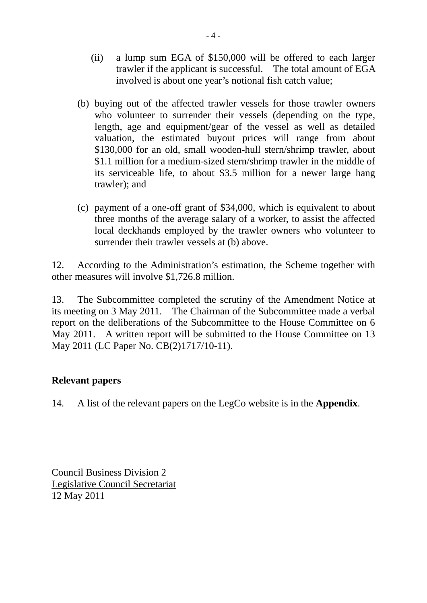- (ii) a lump sum EGA of \$150,000 will be offered to each larger trawler if the applicant is successful. The total amount of EGA involved is about one year's notional fish catch value;
- (b) buying out of the affected trawler vessels for those trawler owners who volunteer to surrender their vessels (depending on the type, length, age and equipment/gear of the vessel as well as detailed valuation, the estimated buyout prices will range from about \$130,000 for an old, small wooden-hull stern/shrimp trawler, about \$1.1 million for a medium-sized stern/shrimp trawler in the middle of its serviceable life, to about \$3.5 million for a newer large hang trawler); and
- (c) payment of a one-off grant of \$34,000, which is equivalent to about three months of the average salary of a worker, to assist the affected local deckhands employed by the trawler owners who volunteer to surrender their trawler vessels at (b) above.

12. According to the Administration's estimation, the Scheme together with other measures will involve \$1,726.8 million.

13. The Subcommittee completed the scrutiny of the Amendment Notice at its meeting on 3 May 2011. The Chairman of the Subcommittee made a verbal report on the deliberations of the Subcommittee to the House Committee on 6 May 2011. A written report will be submitted to the House Committee on 13 May 2011 (LC Paper No. CB(2)1717/10-11).

## **Relevant papers**

14. A list of the relevant papers on the LegCo website is in the **Appendix**.

Council Business Division 2 Legislative Council Secretariat 12 May 2011